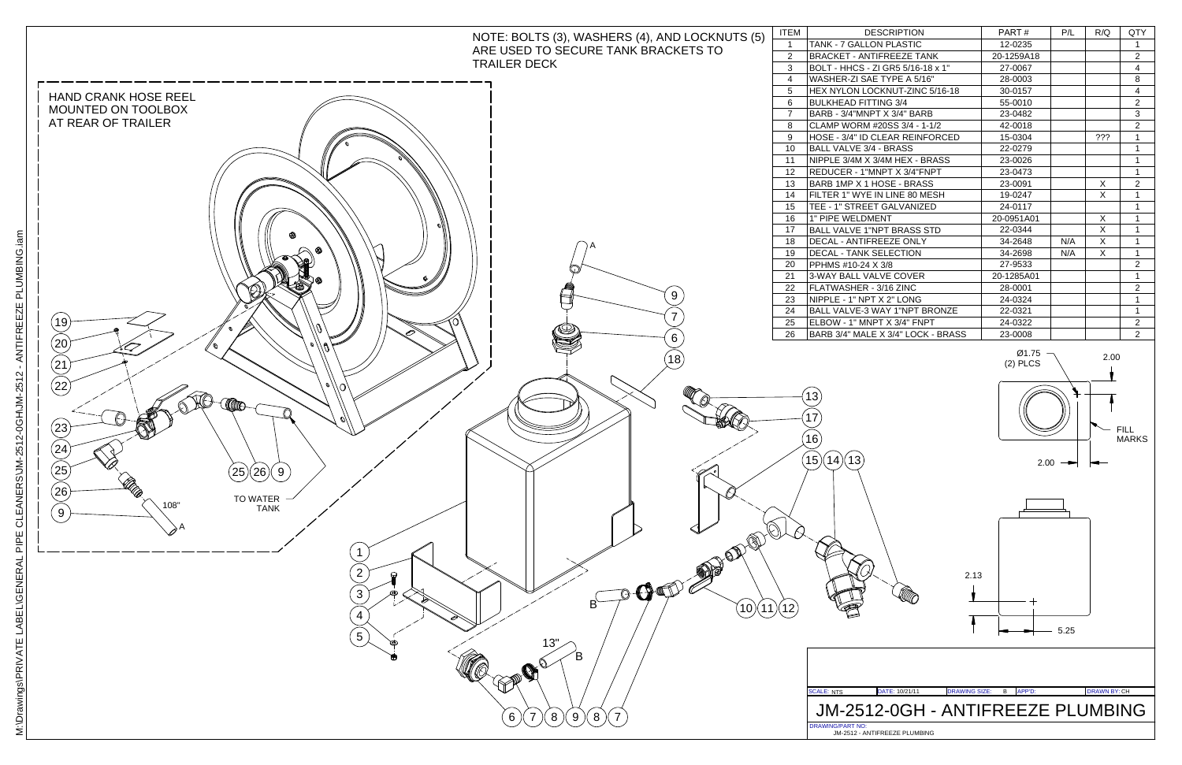

## JM-2512-0GH - ANTIFREEZE PLUMBING

| ΈM                | <b>DESCRIPTION</b>                 | PART#      | P/L | R/Q | QTY            |
|-------------------|------------------------------------|------------|-----|-----|----------------|
| $\mathbf{1}$      | <b>TANK - 7 GALLON PLASTIC</b>     | 12-0235    |     |     | 1              |
| $\overline{2}$    | <b>BRACKET - ANTIFREEZE TANK</b>   | 20-1259A18 |     |     | $\overline{2}$ |
| 3                 | BOLT - HHCS - ZI GR5 5/16-18 x 1"  | 27-0067    |     |     | 4              |
| 4                 | WASHER-ZI SAE TYPE A 5/16"         | 28-0003    |     |     | 8              |
| 5                 | HEX NYLON LOCKNUT-ZINC 5/16-18     | 30-0157    |     |     | 4              |
| 6                 | <b>BULKHEAD FITTING 3/4</b>        | 55-0010    |     |     | $\overline{2}$ |
| $\overline{7}$    | BARB - 3/4"MNPT X 3/4" BARB        | 23-0482    |     |     | 3              |
| 8                 | CLAMP WORM #20SS 3/4 - 1-1/2       | 42-0018    |     |     | $\overline{2}$ |
| 9                 | HOSE - 3/4" ID CLEAR REINFORCED    | 15-0304    |     | ??? | 1              |
| 10                | <b>BALL VALVE 3/4 - BRASS</b>      | 22-0279    |     |     | 1              |
| 11                | NIPPLE 3/4M X 3/4M HEX - BRASS     | 23-0026    |     |     | 1              |
| $12 \overline{ }$ | REDUCER - 1"MNPT X 3/4"FNPT        | 23-0473    |     |     | 1              |
| 13                | BARB 1MP X 1 HOSE - BRASS          | 23-0091    |     | X   | $\overline{2}$ |
| 14                | FILTER 1" WYE IN LINE 80 MESH      | 19-0247    |     | X   | 1              |
| 15                | TEE - 1" STREET GALVANIZED         | 24-0117    |     |     | 1              |
| 16                | 1" PIPE WELDMENT                   | 20-0951A01 |     | X   | 1              |
| 17                | <b>BALL VALVE 1"NPT BRASS STD</b>  | 22-0344    |     | X   | 1              |
| 18                | DECAL - ANTIFREEZE ONLY            | 34-2648    | N/A | X   | 1              |
| 19                | <b>DECAL - TANK SELECTION</b>      | 34-2698    | N/A | X   | $\mathbf{1}$   |
| 20                | PPHMS #10-24 X 3/8                 | 27-9533    |     |     | $\overline{2}$ |
| 21                | 3-WAY BALL VALVE COVER             | 20-1285A01 |     |     | 1              |
| 22                | FLATWASHER - 3/16 ZINC             | 28-0001    |     |     | $\overline{2}$ |
| 23                | NIPPLE - 1" NPT X 2" LONG          | 24-0324    |     |     | 1              |
| 24                | BALL VALVE-3 WAY 1"NPT BRONZE      | 22-0321    |     |     | $\mathbf{1}$   |
| 25                | ELBOW - 1" MNPT X 3/4" FNPT        | 24-0322    |     |     | $\overline{c}$ |
| 26                | BARB 3/4" MALE X 3/4" LOCK - BRASS | 23-0008    |     |     | $\overline{2}$ |
|                   |                                    |            |     |     |                |



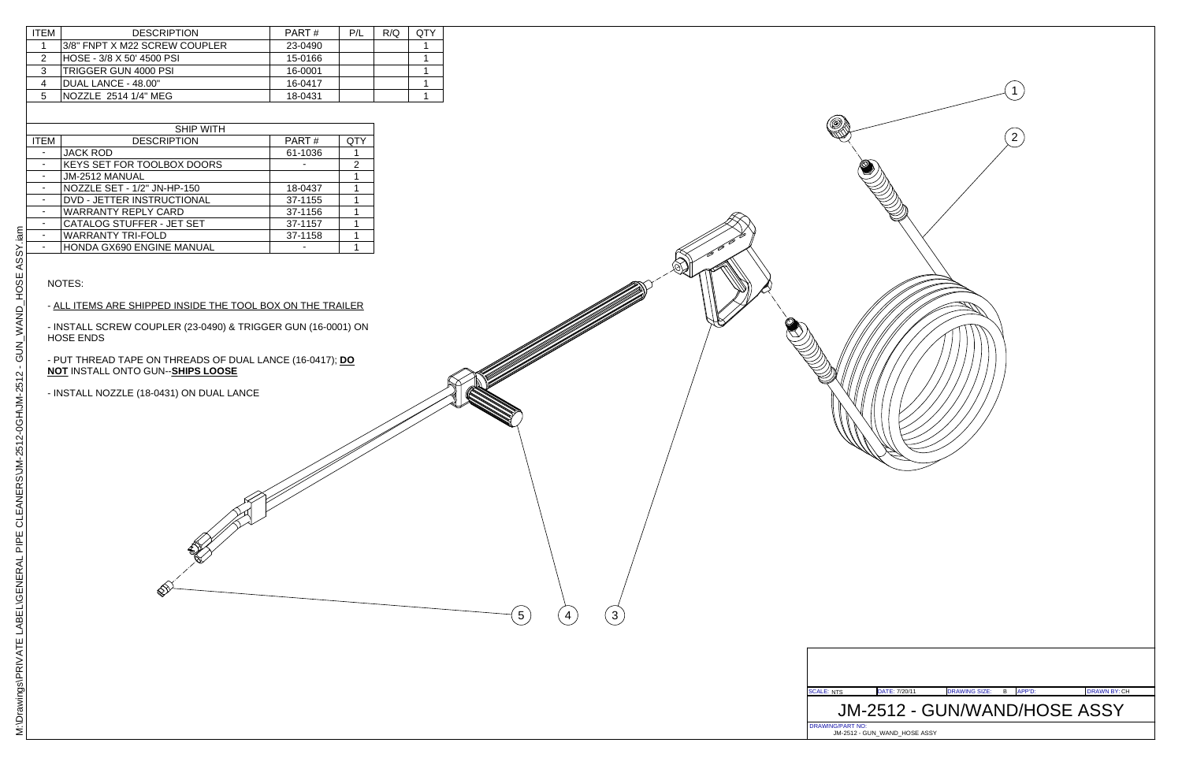

| <b>DESCRIPTION</b>            | PART#   | P/L | R/Q | QTY |
|-------------------------------|---------|-----|-----|-----|
| 3/8" FNPT X M22 SCREW COUPLER | 23-0490 |     |     |     |
| HOSE - 3/8 X 50' 4500 PSI     | 15-0166 |     |     |     |
| TRIGGER GUN 4000 PSI          | 16-0001 |     |     |     |
| DUAL LANCE - 48.00"           | 16-0417 |     |     |     |
| NOZZLE 2514 1/4" MEG          | 18-0431 |     |     |     |
|                               |         |     |     |     |

4

 $(3)$ 

| <b>SHIP WITH</b> |                             |         |            |  |  |
|------------------|-----------------------------|---------|------------|--|--|
| <b>ITEM</b>      | <b>DESCRIPTION</b>          | PART#   | <b>QTY</b> |  |  |
|                  | <b>JACK ROD</b>             | 61-1036 |            |  |  |
|                  | KEYS SET FOR TOOLBOX DOORS  |         | 2          |  |  |
|                  | JM-2512 MANUAL              |         |            |  |  |
|                  | NOZZLE SET - 1/2" JN-HP-150 | 18-0437 |            |  |  |
|                  | DVD - JETTER INSTRUCTIONAL  | 37-1155 |            |  |  |
|                  | <b>WARRANTY REPLY CARD</b>  | 37-1156 |            |  |  |
|                  | CATALOG STUFFER - JET SET   | 37-1157 |            |  |  |
|                  | <b>WARRANTY TRI-FOLD</b>    | 37-1158 |            |  |  |
|                  | HONDA GX690 ENGINE MANUAL   |         |            |  |  |
|                  |                             |         |            |  |  |

#### NOTES:

#### - ALL ITEMS ARE SHIPPED INSIDE THE TOOL BOX ON THE TRAILER

- INSTALL SCREW COUPLER (23-0490) & TRIGGER GUN (16-0001) ON HOSE ENDS

- PUT THREAD TAPE ON THREADS OF DUAL LANCE (16-0417); **DO NOT** INSTALL ONTO GUN--**SHIPS LOOSE**

 $\left(5\right)$ 

- INSTALL NOZZLE (18-0431) ON DUAL LANCE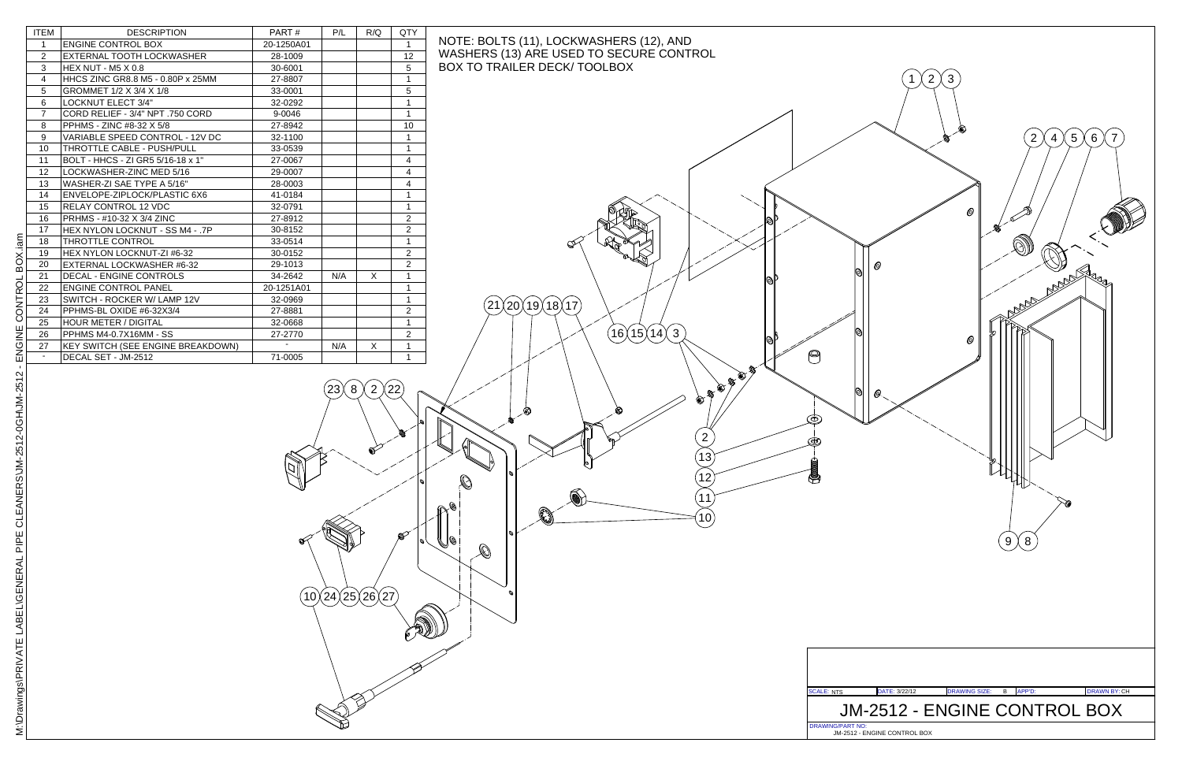| <b>ITEM</b>              | <b>DESCRIPTION</b>                | PART#                    | P/L | R/Q | QTY             |
|--------------------------|-----------------------------------|--------------------------|-----|-----|-----------------|
| $\mathbf{1}$             | <b>ENGINE CONTROL BOX</b>         | 20-1250A01               |     |     | $\mathbf{1}$    |
| $\overline{2}$           | EXTERNAL TOOTH LOCKWASHER         | 28-1009                  |     |     | 12 <sup>2</sup> |
| 3                        | <b>HEX NUT - M5 X 0.8</b>         | 30-6001                  |     |     | 5               |
| $\overline{4}$           | HHCS ZINC GR8.8 M5 - 0.80P x 25MM | 27-8807                  |     |     | 1               |
| 5                        | GROMMET 1/2 X 3/4 X 1/8           | 33-0001                  |     |     | 5               |
| 6                        | <b>LOCKNUT ELECT 3/4"</b>         | 32-0292                  |     |     | 1               |
| $\overline{7}$           | CORD RELIEF - 3/4" NPT .750 CORD  | 9-0046                   |     |     | $\mathbf{1}$    |
| 8                        | PPHMS - ZINC #8-32 X 5/8          | 27-8942                  |     |     | 10              |
| 9                        | VARIABLE SPEED CONTROL - 12V DC   | 32-1100                  |     |     | $\mathbf{1}$    |
| 10                       | THROTTLE CABLE - PUSH/PULL        | 33-0539                  |     |     | 1               |
| 11                       | BOLT - HHCS - ZI GR5 5/16-18 x 1" | 27-0067                  |     |     | 4               |
| 12                       | LOCKWASHER-ZINC MED 5/16          | 29-0007                  |     |     | 4               |
| 13                       | WASHER-ZI SAE TYPE A 5/16"        | 28-0003                  |     |     | 4               |
| 14                       | ENVELOPE-ZIPLOCK/PLASTIC 6X6      | 41-0184                  |     |     | 1               |
| 15                       | <b>RELAY CONTROL 12 VDC</b>       | 32-0791                  |     |     | 1               |
| 16                       | PRHMS - #10-32 X 3/4 ZINC         | 27-8912                  |     |     | $\overline{c}$  |
| 17                       | HEX NYLON LOCKNUT - SS M4 - .7P   | 30-8152                  |     |     | $\overline{c}$  |
| 18                       | <b>THROTTLE CONTROL</b>           | 33-0514                  |     |     | 1               |
| 19                       | HEX NYLON LOCKNUT-ZI #6-32        | 30-0152                  |     |     | $\overline{2}$  |
| 20                       | EXTERNAL LOCKWASHER #6-32         | 29-1013                  |     |     | $\overline{2}$  |
| 21                       | <b>DECAL - ENGINE CONTROLS</b>    | 34-2642                  | N/A | X   | 1               |
| 22                       | <b>ENGINE CONTROL PANEL</b>       | 20-1251A01               |     |     | 1               |
| 23                       | SWITCH - ROCKER W/ LAMP 12V       | 32-0969                  |     |     | 1               |
| 24                       | PPHMS-BL OXIDE #6-32X3/4          | 27-8881                  |     |     | $\overline{2}$  |
| 25                       | <b>HOUR METER / DIGITAL</b>       | 32-0668                  |     |     | 1               |
| 26                       | PPHMS M4-0.7X16MM - SS            | 27-2770                  |     |     | $\overline{2}$  |
| 27                       | KEY SWITCH (SEE ENGINE BREAKDOWN) | $\overline{\phantom{a}}$ | N/A | X   | 1               |
| $\overline{\phantom{a}}$ | DECAL SET - JM-2512               | 71-0005                  |     |     | 1               |



. ai m

23

# NOTE: BOLTS (11), LOCKWASHERS (12), AND WASHERS (13) ARE USED TO SECURE CONTROL BOX TO TRAILER DECK/ TOOLBOX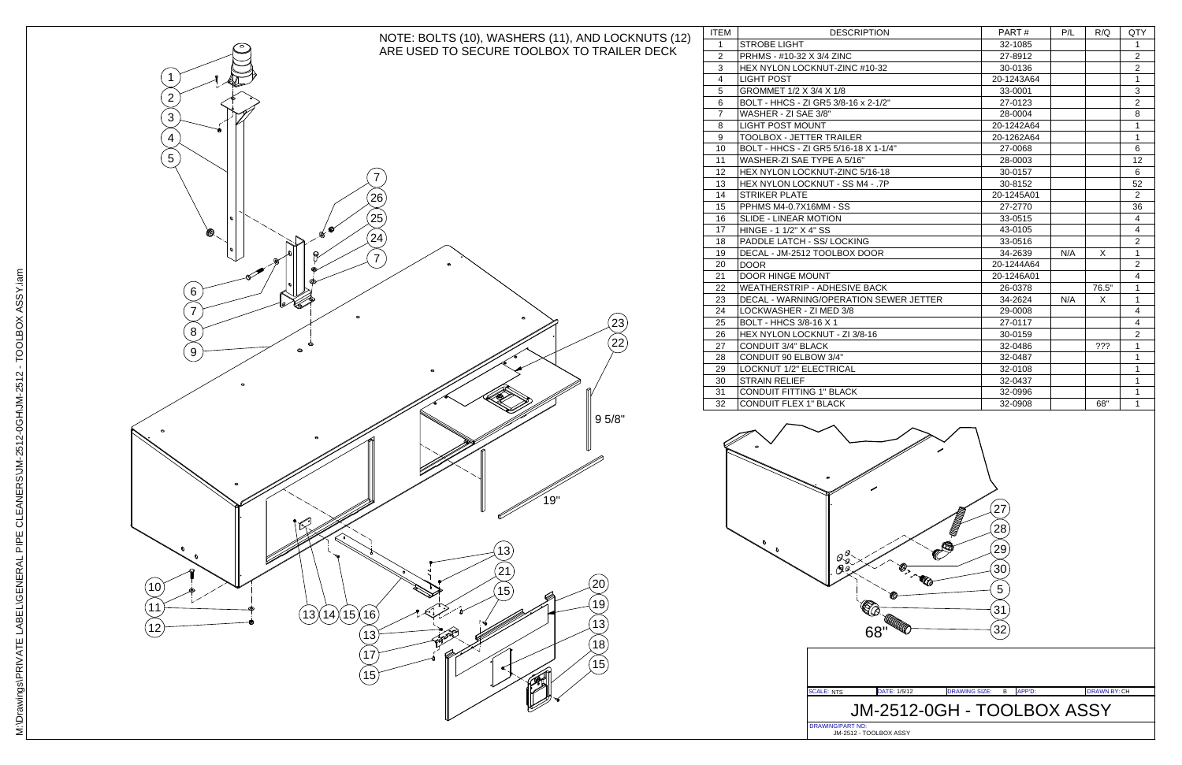

# JM-2512-0GH - TOOLBOX ASSY

| <b>DESCRIPTION</b>                  | PART#      | P/L | R/Q   | QTY            |
|-------------------------------------|------------|-----|-------|----------------|
| <b>DBE LIGHT</b>                    | 32-1085    |     |       | $\mathbf{1}$   |
| MS - #10-32 X 3/4 ZINC              | 27-8912    |     |       | $\overline{c}$ |
| NYLON LOCKNUT-ZINC #10-32           | 30-0136    |     |       | $\overline{2}$ |
| T POST                              | 20-1243A64 |     |       | $\mathbf{1}$   |
| MMET 1/2 X 3/4 X 1/8                | 33-0001    |     |       | 3              |
| F - HHCS - ZI GR5 3/8-16 x 2-1/2"   | 27-0123    |     |       | $\overline{2}$ |
| HER - ZI SAE 3/8"                   | 28-0004    |     |       | 8              |
| T POST MOUNT                        | 20-1242A64 |     |       | $\mathbf{1}$   |
| LBOX - JETTER TRAILER               | 20-1262A64 |     |       | $\mathbf{1}$   |
| [ - HHCS - ZI GR5 5/16-18 X 1-1/4"  | 27-0068    |     |       | 6              |
| HER-ZI SAE TYPE A 5/16"             | 28-0003    |     |       | 12             |
| NYLON LOCKNUT-ZINC 5/16-18          | 30-0157    |     |       | 6              |
| NYLON LOCKNUT - SS M4 - .7P         | 30-8152    |     |       | 52             |
| KER PLATE                           | 20-1245A01 |     |       | 2              |
|                                     | 27-2770    |     |       | 36             |
| E - LINEAR MOTION                   | 33-0515    |     |       | 4              |
| iE - 1 1/2" X 4" SS                 | 43-0105    |     |       | $\overline{4}$ |
| <b>DLE LATCH - SS/LOCKING</b>       | 33-0516    |     |       | $\overline{2}$ |
| AL - JM-2512 TOOLBOX DOOR           | 34-2639    | N/A | X     | $\mathbf{1}$   |
| R.                                  | 20-1244A64 |     |       | $\overline{2}$ |
| R HINGE MOUNT                       | 20-1246A01 |     |       | 4              |
| THERSTRIP - ADHESIVE BACK           | 26-0378    |     | 76.5" | $\mathbf{1}$   |
| AL - WARNING/OPERATION SEWER JETTER | 34-2624    | N/A | X     | $\mathbf{1}$   |
| <b>KWASHER - ZI MED 3/8</b>         | 29-0008    |     |       | 4              |
| <b>F - HHCS 3/8-16 X 1</b>          | 27-0117    |     |       | 4              |
| NYLON LOCKNUT - ZI 3/8-16           | 30-0159    |     |       | $\overline{c}$ |
| DUIT 3/4" BLACK                     | 32-0486    |     | ???   | $\mathbf{1}$   |
| DUIT 90 ELBOW 3/4"                  | 32-0487    |     |       | $\mathbf{1}$   |
| <b>KNUT 1/2" ELECTRICAL</b>         | 32-0108    |     |       | $\mathbf{1}$   |
| <b>NN RELIEF</b>                    | 32-0437    |     |       | $\mathbf{1}$   |
| <b>DUIT FITTING 1" BLACK</b>        | 32-0996    |     |       | 1              |
| <b>DUIT FLEX 1" BLACK</b>           | 32-0908    |     | 68"   | $\mathbf{1}$   |
|                                     |            |     |       |                |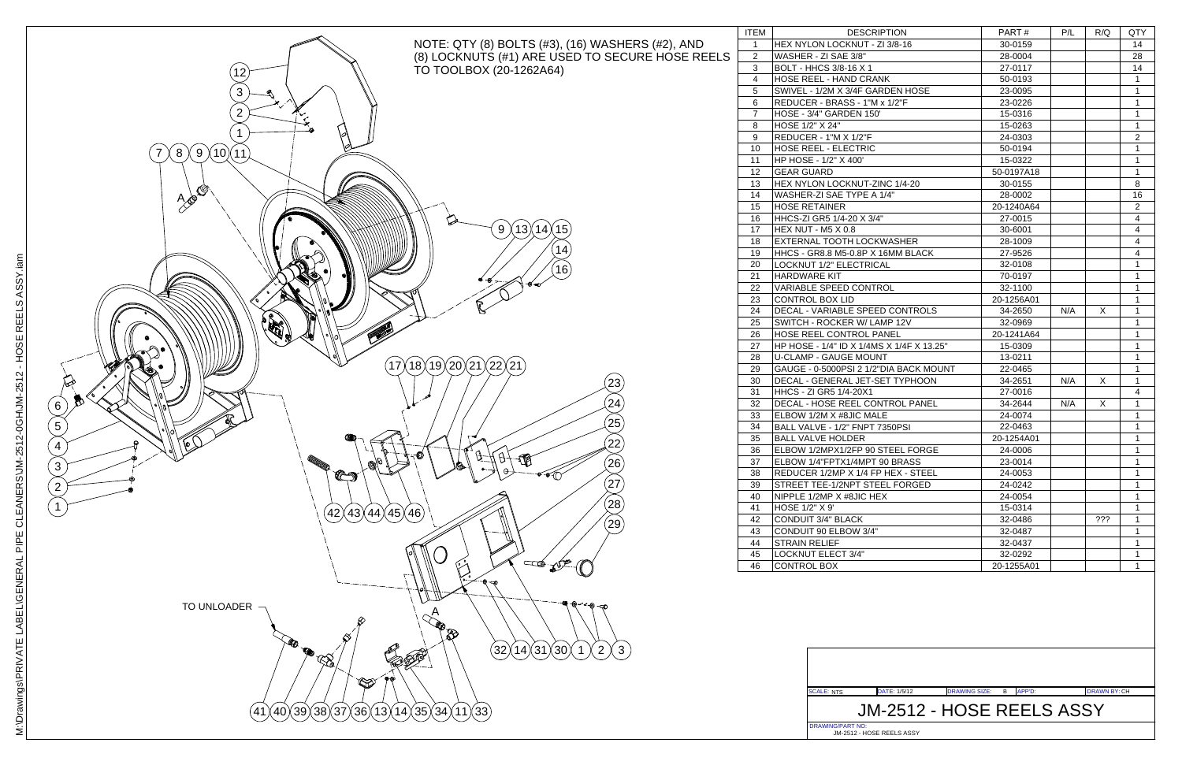JM-2512 - HOSE REELS ASSY



### DATE: DRAWING SIZE: APP'D: DRAWN BY: 1/5/12 <sup>B</sup> CH JM-2512 - HOSE REELS ASSY

| <b>DESCRIPTION</b><br>P/L<br>QTY<br>PART#<br>R/Q<br>HEX NYLON LOCKNUT - ZI 3/8-16<br>30-0159<br>14<br>WASHER - ZI SAE 3/8"<br>28<br>28-0004<br>BOLT - HHCS 3/8-16 X 1<br>14<br>27-0117<br>HOSE REEL - HAND CRANK<br>1<br>50-0193<br>SWIVEL - 1/2M X 3/4F GARDEN HOSE<br>1<br>23-0095<br>REDUCER - BRASS - 1"M x 1/2"F<br>1<br>23-0226<br>HOSE - 3/4" GARDEN 150'<br>1<br>15-0316<br>HOSE 1/2" X 24"<br>1<br>15-0263<br>REDUCER - 1"M X 1/2"F<br>$\overline{c}$<br>24-0303<br><b>HOSE REEL - ELECTRIC</b><br>1<br>50-0194<br>HP HOSE - 1/2" X 400'<br>1<br>15-0322<br>1<br><b>GEAR GUARD</b><br>50-0197A18<br>HEX NYLON LOCKNUT-ZINC 1/4-20<br>8<br>30-0155<br>WASHER-ZI SAE TYPE A 1/4"<br>28-0002<br>16<br><b>HOSE RETAINER</b><br>$\overline{2}$<br>20-1240A64<br>HHCS-ZI GR5 1/4-20 X 3/4"<br>4<br>27-0015<br>HEX NUT - M5 X 0.8<br>4<br>30-6001<br>EXTERNAL TOOTH LOCKWASHER<br>4<br>28-1009<br>HHCS - GR8.8 M5-0.8P X 16MM BLACK<br>27-9526<br>4<br><b>LOCKNUT 1/2" ELECTRICAL</b><br>1<br>32-0108<br><b>HARDWARE KIT</b><br>1<br>70-0197<br>VARIABLE SPEED CONTROL<br>1<br>32-1100<br><b>CONTROL BOX LID</b><br>1<br>20-1256A01<br>X<br>DECAL - VARIABLE SPEED CONTROLS<br>N/A<br>1<br>34-2650<br>SWITCH - ROCKER W/ LAMP 12V<br>1<br>32-0969<br><b>HOSE REEL CONTROL PANEL</b><br>1<br>20-1241A64<br>HP HOSE - 1/4" ID X 1/4MS X 1/4F X 13.25"<br>1<br>15-0309<br><b>U-CLAMP - GAUGE MOUNT</b><br>1<br>13-0211<br>GAUGE - 0-5000PSI 2 1/2"DIA BACK MOUNT<br>1<br>22-0465<br>DECAL - GENERAL JET-SET TYPHOON<br>N/A<br>X<br>1<br>34-2651<br>HHCS - ZI GR5 1/4-20X1<br>4<br>27-0016<br>X<br>DECAL - HOSE REEL CONTROL PANEL<br>N/A<br>1<br>34-2644<br>ELBOW 1/2M X #8JIC MALE<br>24-0074<br>1<br>BALL VALVE - 1/2" FNPT 7350PSI<br>1<br>22-0463<br><b>BALL VALVE HOLDER</b><br>20-1254A01<br>1<br>1<br>ELBOW 1/2MPX1/2FP 90 STEEL FORGE<br>24-0006<br>ELBOW 1/4"FPTX1/4MPT 90 BRASS<br>23-0014<br>1<br>REDUCER 1/2MP X 1/4 FP HEX - STEEL<br>24-0053<br>1<br>STREET TEE-1/2NPT STEEL FORGED<br>24-0242<br>1<br>NIPPLE 1/2MP X #8JIC HEX<br>24-0054<br>1<br>HOSE 1/2" X 9'<br>15-0314<br>1<br>CONDUIT 3/4" BLACK<br>???<br>32-0486<br>1<br>CONDUIT 90 ELBOW 3/4"<br>32-0487<br>1<br><b>STRAIN RELIEF</b><br>32-0437<br>1<br>LOCKNUT ELECT 3/4"<br>32-0292<br>1<br>CONTROL BOX<br>20-1255A01<br>1 |         |  |  |  |
|------------------------------------------------------------------------------------------------------------------------------------------------------------------------------------------------------------------------------------------------------------------------------------------------------------------------------------------------------------------------------------------------------------------------------------------------------------------------------------------------------------------------------------------------------------------------------------------------------------------------------------------------------------------------------------------------------------------------------------------------------------------------------------------------------------------------------------------------------------------------------------------------------------------------------------------------------------------------------------------------------------------------------------------------------------------------------------------------------------------------------------------------------------------------------------------------------------------------------------------------------------------------------------------------------------------------------------------------------------------------------------------------------------------------------------------------------------------------------------------------------------------------------------------------------------------------------------------------------------------------------------------------------------------------------------------------------------------------------------------------------------------------------------------------------------------------------------------------------------------------------------------------------------------------------------------------------------------------------------------------------------------------------------------------------------------------------------------------------------------------------------------------------------------------------------------------------------------------------------------------------------------------------------------------------|---------|--|--|--|
|                                                                                                                                                                                                                                                                                                                                                                                                                                                                                                                                                                                                                                                                                                                                                                                                                                                                                                                                                                                                                                                                                                                                                                                                                                                                                                                                                                                                                                                                                                                                                                                                                                                                                                                                                                                                                                                                                                                                                                                                                                                                                                                                                                                                                                                                                                      | EM      |  |  |  |
|                                                                                                                                                                                                                                                                                                                                                                                                                                                                                                                                                                                                                                                                                                                                                                                                                                                                                                                                                                                                                                                                                                                                                                                                                                                                                                                                                                                                                                                                                                                                                                                                                                                                                                                                                                                                                                                                                                                                                                                                                                                                                                                                                                                                                                                                                                      | 1       |  |  |  |
|                                                                                                                                                                                                                                                                                                                                                                                                                                                                                                                                                                                                                                                                                                                                                                                                                                                                                                                                                                                                                                                                                                                                                                                                                                                                                                                                                                                                                                                                                                                                                                                                                                                                                                                                                                                                                                                                                                                                                                                                                                                                                                                                                                                                                                                                                                      | 2       |  |  |  |
|                                                                                                                                                                                                                                                                                                                                                                                                                                                                                                                                                                                                                                                                                                                                                                                                                                                                                                                                                                                                                                                                                                                                                                                                                                                                                                                                                                                                                                                                                                                                                                                                                                                                                                                                                                                                                                                                                                                                                                                                                                                                                                                                                                                                                                                                                                      | 3       |  |  |  |
|                                                                                                                                                                                                                                                                                                                                                                                                                                                                                                                                                                                                                                                                                                                                                                                                                                                                                                                                                                                                                                                                                                                                                                                                                                                                                                                                                                                                                                                                                                                                                                                                                                                                                                                                                                                                                                                                                                                                                                                                                                                                                                                                                                                                                                                                                                      | 4       |  |  |  |
|                                                                                                                                                                                                                                                                                                                                                                                                                                                                                                                                                                                                                                                                                                                                                                                                                                                                                                                                                                                                                                                                                                                                                                                                                                                                                                                                                                                                                                                                                                                                                                                                                                                                                                                                                                                                                                                                                                                                                                                                                                                                                                                                                                                                                                                                                                      | 5       |  |  |  |
|                                                                                                                                                                                                                                                                                                                                                                                                                                                                                                                                                                                                                                                                                                                                                                                                                                                                                                                                                                                                                                                                                                                                                                                                                                                                                                                                                                                                                                                                                                                                                                                                                                                                                                                                                                                                                                                                                                                                                                                                                                                                                                                                                                                                                                                                                                      | 6       |  |  |  |
|                                                                                                                                                                                                                                                                                                                                                                                                                                                                                                                                                                                                                                                                                                                                                                                                                                                                                                                                                                                                                                                                                                                                                                                                                                                                                                                                                                                                                                                                                                                                                                                                                                                                                                                                                                                                                                                                                                                                                                                                                                                                                                                                                                                                                                                                                                      | 7       |  |  |  |
|                                                                                                                                                                                                                                                                                                                                                                                                                                                                                                                                                                                                                                                                                                                                                                                                                                                                                                                                                                                                                                                                                                                                                                                                                                                                                                                                                                                                                                                                                                                                                                                                                                                                                                                                                                                                                                                                                                                                                                                                                                                                                                                                                                                                                                                                                                      | 8       |  |  |  |
|                                                                                                                                                                                                                                                                                                                                                                                                                                                                                                                                                                                                                                                                                                                                                                                                                                                                                                                                                                                                                                                                                                                                                                                                                                                                                                                                                                                                                                                                                                                                                                                                                                                                                                                                                                                                                                                                                                                                                                                                                                                                                                                                                                                                                                                                                                      | 9       |  |  |  |
|                                                                                                                                                                                                                                                                                                                                                                                                                                                                                                                                                                                                                                                                                                                                                                                                                                                                                                                                                                                                                                                                                                                                                                                                                                                                                                                                                                                                                                                                                                                                                                                                                                                                                                                                                                                                                                                                                                                                                                                                                                                                                                                                                                                                                                                                                                      | 10      |  |  |  |
|                                                                                                                                                                                                                                                                                                                                                                                                                                                                                                                                                                                                                                                                                                                                                                                                                                                                                                                                                                                                                                                                                                                                                                                                                                                                                                                                                                                                                                                                                                                                                                                                                                                                                                                                                                                                                                                                                                                                                                                                                                                                                                                                                                                                                                                                                                      | l 1     |  |  |  |
|                                                                                                                                                                                                                                                                                                                                                                                                                                                                                                                                                                                                                                                                                                                                                                                                                                                                                                                                                                                                                                                                                                                                                                                                                                                                                                                                                                                                                                                                                                                                                                                                                                                                                                                                                                                                                                                                                                                                                                                                                                                                                                                                                                                                                                                                                                      | 12      |  |  |  |
|                                                                                                                                                                                                                                                                                                                                                                                                                                                                                                                                                                                                                                                                                                                                                                                                                                                                                                                                                                                                                                                                                                                                                                                                                                                                                                                                                                                                                                                                                                                                                                                                                                                                                                                                                                                                                                                                                                                                                                                                                                                                                                                                                                                                                                                                                                      | 13      |  |  |  |
|                                                                                                                                                                                                                                                                                                                                                                                                                                                                                                                                                                                                                                                                                                                                                                                                                                                                                                                                                                                                                                                                                                                                                                                                                                                                                                                                                                                                                                                                                                                                                                                                                                                                                                                                                                                                                                                                                                                                                                                                                                                                                                                                                                                                                                                                                                      | 14      |  |  |  |
|                                                                                                                                                                                                                                                                                                                                                                                                                                                                                                                                                                                                                                                                                                                                                                                                                                                                                                                                                                                                                                                                                                                                                                                                                                                                                                                                                                                                                                                                                                                                                                                                                                                                                                                                                                                                                                                                                                                                                                                                                                                                                                                                                                                                                                                                                                      | 15      |  |  |  |
|                                                                                                                                                                                                                                                                                                                                                                                                                                                                                                                                                                                                                                                                                                                                                                                                                                                                                                                                                                                                                                                                                                                                                                                                                                                                                                                                                                                                                                                                                                                                                                                                                                                                                                                                                                                                                                                                                                                                                                                                                                                                                                                                                                                                                                                                                                      | 16      |  |  |  |
|                                                                                                                                                                                                                                                                                                                                                                                                                                                                                                                                                                                                                                                                                                                                                                                                                                                                                                                                                                                                                                                                                                                                                                                                                                                                                                                                                                                                                                                                                                                                                                                                                                                                                                                                                                                                                                                                                                                                                                                                                                                                                                                                                                                                                                                                                                      | 17      |  |  |  |
|                                                                                                                                                                                                                                                                                                                                                                                                                                                                                                                                                                                                                                                                                                                                                                                                                                                                                                                                                                                                                                                                                                                                                                                                                                                                                                                                                                                                                                                                                                                                                                                                                                                                                                                                                                                                                                                                                                                                                                                                                                                                                                                                                                                                                                                                                                      | 18      |  |  |  |
|                                                                                                                                                                                                                                                                                                                                                                                                                                                                                                                                                                                                                                                                                                                                                                                                                                                                                                                                                                                                                                                                                                                                                                                                                                                                                                                                                                                                                                                                                                                                                                                                                                                                                                                                                                                                                                                                                                                                                                                                                                                                                                                                                                                                                                                                                                      | ۱9      |  |  |  |
|                                                                                                                                                                                                                                                                                                                                                                                                                                                                                                                                                                                                                                                                                                                                                                                                                                                                                                                                                                                                                                                                                                                                                                                                                                                                                                                                                                                                                                                                                                                                                                                                                                                                                                                                                                                                                                                                                                                                                                                                                                                                                                                                                                                                                                                                                                      | 20      |  |  |  |
|                                                                                                                                                                                                                                                                                                                                                                                                                                                                                                                                                                                                                                                                                                                                                                                                                                                                                                                                                                                                                                                                                                                                                                                                                                                                                                                                                                                                                                                                                                                                                                                                                                                                                                                                                                                                                                                                                                                                                                                                                                                                                                                                                                                                                                                                                                      | 21      |  |  |  |
|                                                                                                                                                                                                                                                                                                                                                                                                                                                                                                                                                                                                                                                                                                                                                                                                                                                                                                                                                                                                                                                                                                                                                                                                                                                                                                                                                                                                                                                                                                                                                                                                                                                                                                                                                                                                                                                                                                                                                                                                                                                                                                                                                                                                                                                                                                      | $^{22}$ |  |  |  |
|                                                                                                                                                                                                                                                                                                                                                                                                                                                                                                                                                                                                                                                                                                                                                                                                                                                                                                                                                                                                                                                                                                                                                                                                                                                                                                                                                                                                                                                                                                                                                                                                                                                                                                                                                                                                                                                                                                                                                                                                                                                                                                                                                                                                                                                                                                      | 23      |  |  |  |
|                                                                                                                                                                                                                                                                                                                                                                                                                                                                                                                                                                                                                                                                                                                                                                                                                                                                                                                                                                                                                                                                                                                                                                                                                                                                                                                                                                                                                                                                                                                                                                                                                                                                                                                                                                                                                                                                                                                                                                                                                                                                                                                                                                                                                                                                                                      | $^{24}$ |  |  |  |
|                                                                                                                                                                                                                                                                                                                                                                                                                                                                                                                                                                                                                                                                                                                                                                                                                                                                                                                                                                                                                                                                                                                                                                                                                                                                                                                                                                                                                                                                                                                                                                                                                                                                                                                                                                                                                                                                                                                                                                                                                                                                                                                                                                                                                                                                                                      | 25      |  |  |  |
|                                                                                                                                                                                                                                                                                                                                                                                                                                                                                                                                                                                                                                                                                                                                                                                                                                                                                                                                                                                                                                                                                                                                                                                                                                                                                                                                                                                                                                                                                                                                                                                                                                                                                                                                                                                                                                                                                                                                                                                                                                                                                                                                                                                                                                                                                                      | 26      |  |  |  |
|                                                                                                                                                                                                                                                                                                                                                                                                                                                                                                                                                                                                                                                                                                                                                                                                                                                                                                                                                                                                                                                                                                                                                                                                                                                                                                                                                                                                                                                                                                                                                                                                                                                                                                                                                                                                                                                                                                                                                                                                                                                                                                                                                                                                                                                                                                      | 27      |  |  |  |
|                                                                                                                                                                                                                                                                                                                                                                                                                                                                                                                                                                                                                                                                                                                                                                                                                                                                                                                                                                                                                                                                                                                                                                                                                                                                                                                                                                                                                                                                                                                                                                                                                                                                                                                                                                                                                                                                                                                                                                                                                                                                                                                                                                                                                                                                                                      | 28      |  |  |  |
|                                                                                                                                                                                                                                                                                                                                                                                                                                                                                                                                                                                                                                                                                                                                                                                                                                                                                                                                                                                                                                                                                                                                                                                                                                                                                                                                                                                                                                                                                                                                                                                                                                                                                                                                                                                                                                                                                                                                                                                                                                                                                                                                                                                                                                                                                                      | 29      |  |  |  |
|                                                                                                                                                                                                                                                                                                                                                                                                                                                                                                                                                                                                                                                                                                                                                                                                                                                                                                                                                                                                                                                                                                                                                                                                                                                                                                                                                                                                                                                                                                                                                                                                                                                                                                                                                                                                                                                                                                                                                                                                                                                                                                                                                                                                                                                                                                      | 30      |  |  |  |
|                                                                                                                                                                                                                                                                                                                                                                                                                                                                                                                                                                                                                                                                                                                                                                                                                                                                                                                                                                                                                                                                                                                                                                                                                                                                                                                                                                                                                                                                                                                                                                                                                                                                                                                                                                                                                                                                                                                                                                                                                                                                                                                                                                                                                                                                                                      | 31.     |  |  |  |
|                                                                                                                                                                                                                                                                                                                                                                                                                                                                                                                                                                                                                                                                                                                                                                                                                                                                                                                                                                                                                                                                                                                                                                                                                                                                                                                                                                                                                                                                                                                                                                                                                                                                                                                                                                                                                                                                                                                                                                                                                                                                                                                                                                                                                                                                                                      | $32\,$  |  |  |  |
|                                                                                                                                                                                                                                                                                                                                                                                                                                                                                                                                                                                                                                                                                                                                                                                                                                                                                                                                                                                                                                                                                                                                                                                                                                                                                                                                                                                                                                                                                                                                                                                                                                                                                                                                                                                                                                                                                                                                                                                                                                                                                                                                                                                                                                                                                                      | 33      |  |  |  |
|                                                                                                                                                                                                                                                                                                                                                                                                                                                                                                                                                                                                                                                                                                                                                                                                                                                                                                                                                                                                                                                                                                                                                                                                                                                                                                                                                                                                                                                                                                                                                                                                                                                                                                                                                                                                                                                                                                                                                                                                                                                                                                                                                                                                                                                                                                      | 34      |  |  |  |
|                                                                                                                                                                                                                                                                                                                                                                                                                                                                                                                                                                                                                                                                                                                                                                                                                                                                                                                                                                                                                                                                                                                                                                                                                                                                                                                                                                                                                                                                                                                                                                                                                                                                                                                                                                                                                                                                                                                                                                                                                                                                                                                                                                                                                                                                                                      | 35      |  |  |  |
|                                                                                                                                                                                                                                                                                                                                                                                                                                                                                                                                                                                                                                                                                                                                                                                                                                                                                                                                                                                                                                                                                                                                                                                                                                                                                                                                                                                                                                                                                                                                                                                                                                                                                                                                                                                                                                                                                                                                                                                                                                                                                                                                                                                                                                                                                                      | 36      |  |  |  |
|                                                                                                                                                                                                                                                                                                                                                                                                                                                                                                                                                                                                                                                                                                                                                                                                                                                                                                                                                                                                                                                                                                                                                                                                                                                                                                                                                                                                                                                                                                                                                                                                                                                                                                                                                                                                                                                                                                                                                                                                                                                                                                                                                                                                                                                                                                      | 37      |  |  |  |
|                                                                                                                                                                                                                                                                                                                                                                                                                                                                                                                                                                                                                                                                                                                                                                                                                                                                                                                                                                                                                                                                                                                                                                                                                                                                                                                                                                                                                                                                                                                                                                                                                                                                                                                                                                                                                                                                                                                                                                                                                                                                                                                                                                                                                                                                                                      | 38      |  |  |  |
|                                                                                                                                                                                                                                                                                                                                                                                                                                                                                                                                                                                                                                                                                                                                                                                                                                                                                                                                                                                                                                                                                                                                                                                                                                                                                                                                                                                                                                                                                                                                                                                                                                                                                                                                                                                                                                                                                                                                                                                                                                                                                                                                                                                                                                                                                                      | 39      |  |  |  |
|                                                                                                                                                                                                                                                                                                                                                                                                                                                                                                                                                                                                                                                                                                                                                                                                                                                                                                                                                                                                                                                                                                                                                                                                                                                                                                                                                                                                                                                                                                                                                                                                                                                                                                                                                                                                                                                                                                                                                                                                                                                                                                                                                                                                                                                                                                      | 10      |  |  |  |
|                                                                                                                                                                                                                                                                                                                                                                                                                                                                                                                                                                                                                                                                                                                                                                                                                                                                                                                                                                                                                                                                                                                                                                                                                                                                                                                                                                                                                                                                                                                                                                                                                                                                                                                                                                                                                                                                                                                                                                                                                                                                                                                                                                                                                                                                                                      | 11      |  |  |  |
|                                                                                                                                                                                                                                                                                                                                                                                                                                                                                                                                                                                                                                                                                                                                                                                                                                                                                                                                                                                                                                                                                                                                                                                                                                                                                                                                                                                                                                                                                                                                                                                                                                                                                                                                                                                                                                                                                                                                                                                                                                                                                                                                                                                                                                                                                                      | 12      |  |  |  |
|                                                                                                                                                                                                                                                                                                                                                                                                                                                                                                                                                                                                                                                                                                                                                                                                                                                                                                                                                                                                                                                                                                                                                                                                                                                                                                                                                                                                                                                                                                                                                                                                                                                                                                                                                                                                                                                                                                                                                                                                                                                                                                                                                                                                                                                                                                      | 13      |  |  |  |
|                                                                                                                                                                                                                                                                                                                                                                                                                                                                                                                                                                                                                                                                                                                                                                                                                                                                                                                                                                                                                                                                                                                                                                                                                                                                                                                                                                                                                                                                                                                                                                                                                                                                                                                                                                                                                                                                                                                                                                                                                                                                                                                                                                                                                                                                                                      | 14      |  |  |  |
|                                                                                                                                                                                                                                                                                                                                                                                                                                                                                                                                                                                                                                                                                                                                                                                                                                                                                                                                                                                                                                                                                                                                                                                                                                                                                                                                                                                                                                                                                                                                                                                                                                                                                                                                                                                                                                                                                                                                                                                                                                                                                                                                                                                                                                                                                                      | 15      |  |  |  |
|                                                                                                                                                                                                                                                                                                                                                                                                                                                                                                                                                                                                                                                                                                                                                                                                                                                                                                                                                                                                                                                                                                                                                                                                                                                                                                                                                                                                                                                                                                                                                                                                                                                                                                                                                                                                                                                                                                                                                                                                                                                                                                                                                                                                                                                                                                      | 16      |  |  |  |
|                                                                                                                                                                                                                                                                                                                                                                                                                                                                                                                                                                                                                                                                                                                                                                                                                                                                                                                                                                                                                                                                                                                                                                                                                                                                                                                                                                                                                                                                                                                                                                                                                                                                                                                                                                                                                                                                                                                                                                                                                                                                                                                                                                                                                                                                                                      |         |  |  |  |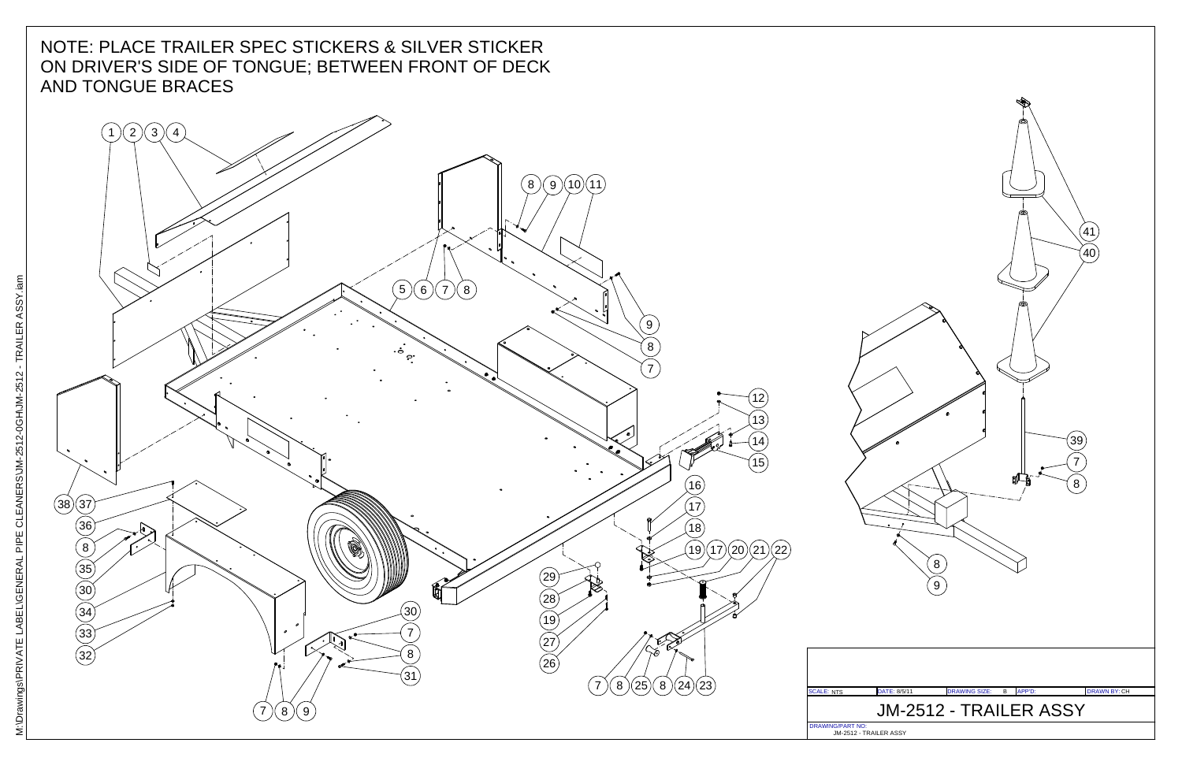

### NOTE: PLACE TRAILER SPEC STICKERS & SILVER STICKER ON DRIVER'S SIDE OF TONGUE; BETWEEN FRONT OF DECKAND TONGUE BRACES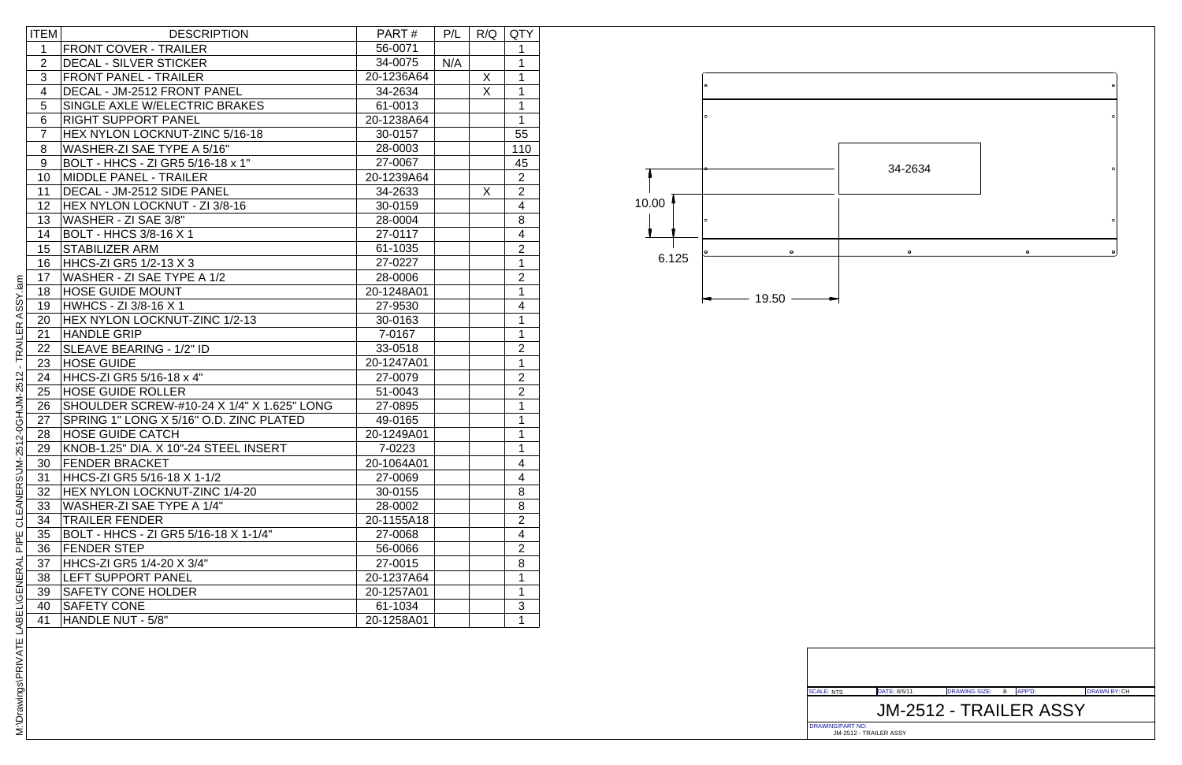DRAWING/PART NO: JM-2512 - TRAILER ASSY

### DATE: DRAWING SIZE: APP'D: DRAWN BY: 8/5/11 <sup>B</sup> CH JM-2512 - TRAILER ASSY

| <b>ITEM</b>    | <b>DESCRIPTION</b>                         | PART#      | P/L | R/Q | <b>QTY</b>              |
|----------------|--------------------------------------------|------------|-----|-----|-------------------------|
| 1              | <b>FRONT COVER - TRAILER</b>               | 56-0071    |     |     | 1                       |
| $\overline{2}$ | <b>DECAL - SILVER STICKER</b>              | 34-0075    | N/A |     | 1                       |
| 3              | <b>FRONT PANEL - TRAILER</b>               | 20-1236A64 |     | X   | 1                       |
| $\overline{4}$ | DECAL - JM-2512 FRONT PANEL                | 34-2634    |     | X   | 1                       |
| 5              | SINGLE AXLE W/ELECTRIC BRAKES              | 61-0013    |     |     | 1                       |
| 6              | <b>RIGHT SUPPORT PANEL</b>                 | 20-1238A64 |     |     | $\mathbf{1}$            |
| $\overline{7}$ | HEX NYLON LOCKNUT-ZINC 5/16-18             | 30-0157    |     |     | 55                      |
| 8              | WASHER-ZI SAE TYPE A 5/16"                 | 28-0003    |     |     | 110                     |
| 9              | BOLT - HHCS - ZI GR5 5/16-18 x 1"          | 27-0067    |     |     | 45                      |
| 10             | <b>MIDDLE PANEL - TRAILER</b>              | 20-1239A64 |     |     | $\overline{2}$          |
| 11             | DECAL - JM-2512 SIDE PANEL                 | 34-2633    |     | X   | $\overline{2}$          |
| 12             | HEX NYLON LOCKNUT - ZI 3/8-16              | 30-0159    |     |     | $\overline{4}$          |
| 13             | WASHER - ZI SAE 3/8"                       | 28-0004    |     |     | 8                       |
| 14             | <b>BOLT - HHCS 3/8-16 X 1</b>              | 27-0117    |     |     | $\overline{\mathbf{4}}$ |
| 15             | <b>STABILIZER ARM</b>                      | 61-1035    |     |     | $\overline{2}$          |
| 16             | HHCS-ZI GR5 1/2-13 X 3                     | 27-0227    |     |     | $\mathbf{1}$            |
| 17             | WASHER - ZI SAE TYPE A 1/2                 | 28-0006    |     |     | $\overline{2}$          |
| 18             | <b>HOSE GUIDE MOUNT</b>                    | 20-1248A01 |     |     | $\mathbf{1}$            |
| 19             | <b>HWHCS - ZI 3/8-16 X 1</b>               | 27-9530    |     |     | 4                       |
| 20             | HEX NYLON LOCKNUT-ZINC 1/2-13              | 30-0163    |     |     | $\mathbf{1}$            |
| 21             | <b>HANDLE GRIP</b>                         | 7-0167     |     |     | $\mathbf{1}$            |
| 22             | SLEAVE BEARING - 1/2" ID                   | 33-0518    |     |     | $\overline{2}$          |
| 23             | <b>HOSE GUIDE</b>                          | 20-1247A01 |     |     | $\mathbf{1}$            |
| 24             | HHCS-ZI GR5 5/16-18 x 4"                   | 27-0079    |     |     | $\overline{2}$          |
| 25             | <b>HOSE GUIDE ROLLER</b>                   | 51-0043    |     |     | $\overline{2}$          |
| 26             | SHOULDER SCREW-#10-24 X 1/4" X 1.625" LONG | 27-0895    |     |     | $\mathbf{1}$            |
| 27             | SPRING 1" LONG X 5/16" O.D. ZINC PLATED    | 49-0165    |     |     | $\mathbf{1}$            |
| 28             | <b>HOSE GUIDE CATCH</b>                    | 20-1249A01 |     |     | $\mathbf{1}$            |
| 29             | KNOB-1.25" DIA. X 10"-24 STEEL INSERT      | 7-0223     |     |     | $\mathbf{1}$            |
| 30             | <b>FENDER BRACKET</b>                      | 20-1064A01 |     |     | 4                       |
| 31             | HHCS-ZI GR5 5/16-18 X 1-1/2                | 27-0069    |     |     | 4                       |
| 32             | HEX NYLON LOCKNUT-ZINC 1/4-20              | 30-0155    |     |     | 8                       |
| 33             | WASHER-ZI SAE TYPE A 1/4"                  | 28-0002    |     |     | 8                       |
| 34             | <b>TRAILER FENDER</b>                      | 20-1155A18 |     |     | $\overline{2}$          |
| 35             | BOLT - HHCS - ZI GR5 5/16-18 X 1-1/4"      | 27-0068    |     |     | 4                       |
| 36             | <b>FENDER STEP</b>                         | 56-0066    |     |     | $\overline{2}$          |
| 37             | HHCS-ZI GR5 1/4-20 X 3/4"                  | 27-0015    |     |     | 8                       |
| 38             | <b>LEFT SUPPORT PANEL</b>                  | 20-1237A64 |     |     | 1                       |
| 39             | <b>SAFETY CONE HOLDER</b>                  | 20-1257A01 |     |     | 1                       |
| 40             | <b>SAFETY CONE</b>                         | 61-1034    |     |     | 3                       |
| 41             | HANDLE NUT - 5/8"                          | 20-1258A01 |     |     | 1                       |



M:\Drawings\PRIVATE LABEL\GENERAL PIPE CLEANERS\JM-2512-0GH\JM-2512 - TRAILER ASSY.iam M: Drawings PRIVATE LABEL GENERAL P PE CLEANERS JM-2512-0GH\JM-2512 - TRAILER ASSY. iam

SCALE: NTS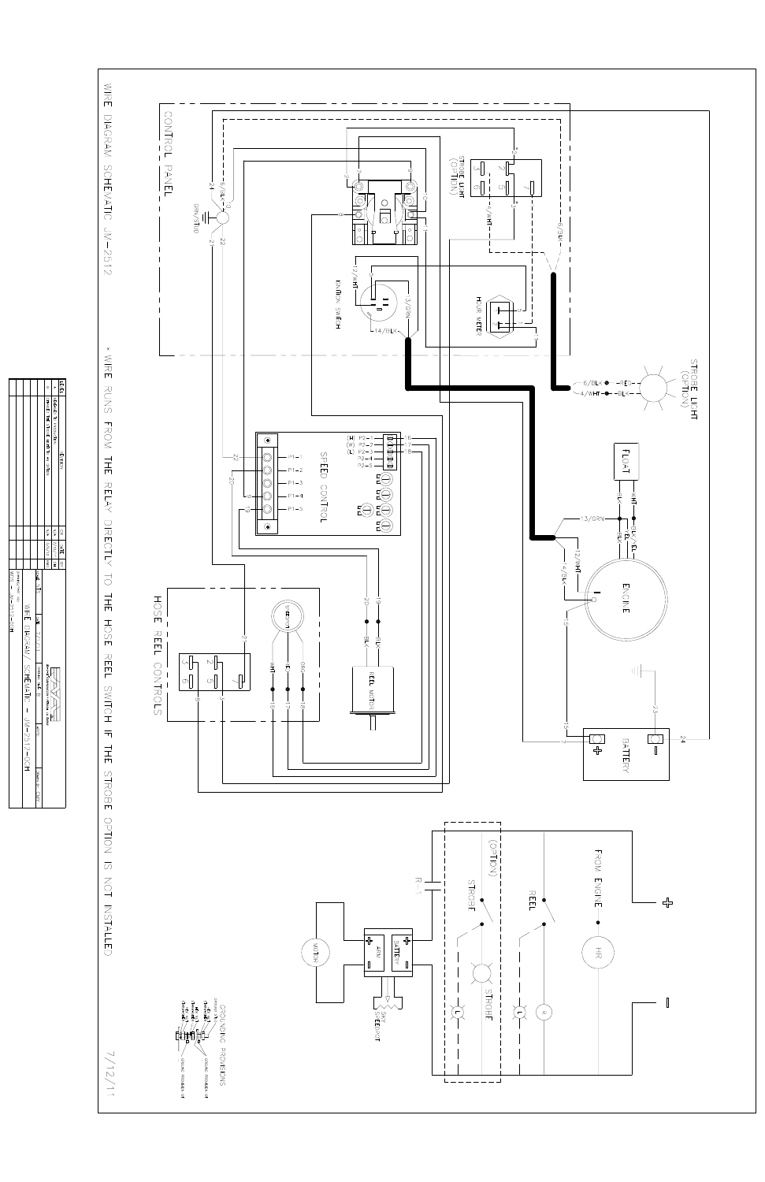